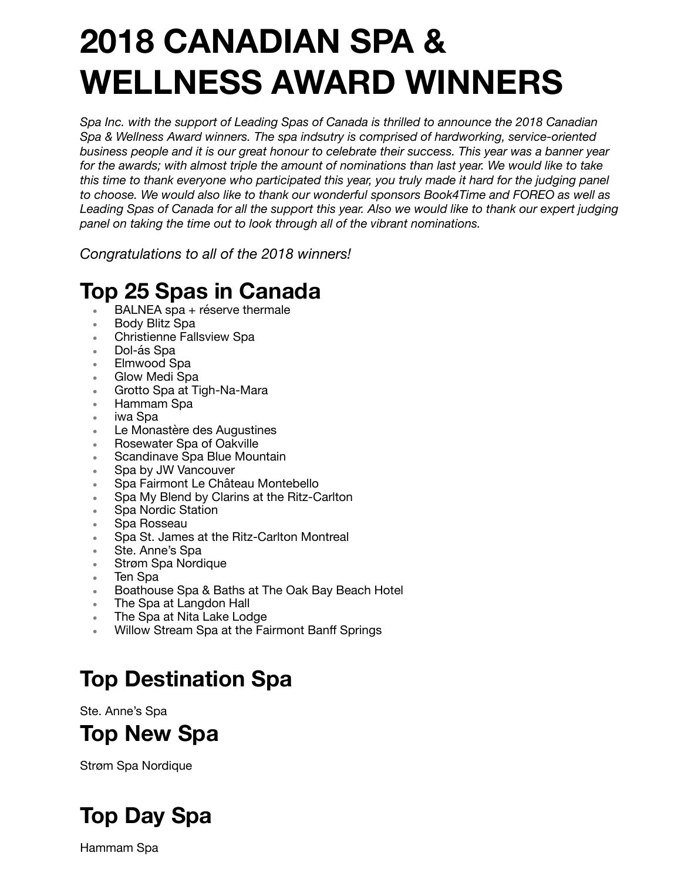# **2018 CANADIAN SPA & WELLNESS AWARD WINNERS**

*Spa Inc. with the support of Leading Spas of Canada is thrilled to announce the 2018 Canadian Spa & Wellness Award winners. The spa indsutry is comprised of hardworking, service-oriented business people and it is our great honour to celebrate their success. This year was a banner year for the awards; with almost triple the amount of nominations than last year. We would like to take this time to thank everyone who participated this year, you truly made it hard for the judging panel to choose. We would also like to thank our wonderful sponsors Book4Time and FOREO as well as Leading Spas of Canada for all the support this year. Also we would like to thank our expert judging panel on taking the time out to look through all of the vibrant nominations.* 

*Congratulations to all of the 2018 winners!* 

#### **Top 25 Spas in Canada**

- BALNEA spa + réserve thermale
- Body Blitz Spa
- Christienne Fallsview Spa
- Dol-ás Spa
- Elmwood Spa
- Glow Medi Spa
- Grotto Spa at Tigh-Na-Mara
- Hammam Spa
- iwa Spa
- Le Monastère des Augustines
- Rosewater Spa of Oakville
- Scandinave Spa Blue Mountain
- Spa by JW Vancouver
- Spa Fairmont Le Château Montebello
- Spa My Blend by Clarins at the Ritz-Carlton
- Spa Nordic Station
- Spa Rosseau
- Spa St. James at the Ritz-Carlton Montreal
- Ste. Anne's Spa
- Strøm Spa Nordique
- Ten Spa
- Boathouse Spa & Baths at The Oak Bay Beach Hotel
- The Spa at Langdon Hall
- The Spa at Nita Lake Lodge
- Willow Stream Spa at the Fairmont Banff Springs

### **Top Destination Spa**

Ste. Anne's Spa

#### **Top New Spa**

Strøm Spa Nordique

### **Top Day Spa**

Hammam Spa